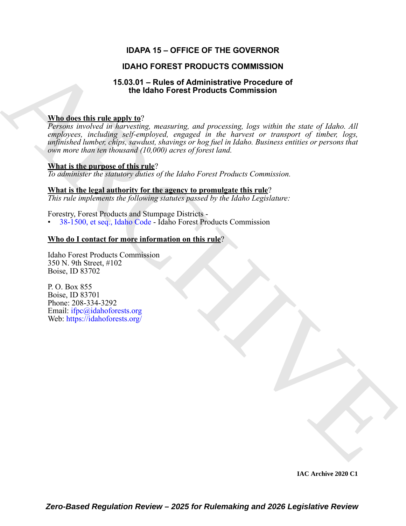# **IDAPA 15 – OFFICE OF THE GOVERNOR**

# **IDAHO FOREST PRODUCTS COMMISSION**

# **15.03.01 – Rules of Administrative Procedure of the Idaho Forest Products Commission**

# **Who does this rule apply to**?

**IDANO FOREST PRODUCTS COMMISSION**<br>
15.36.31 - Richard Fred Administrative Procedure of<br>
The identifying many range and processing, hay within the state of Indian 13<br> *Properties the control of the processing* and process *Persons involved in harvesting, measuring, and processing, logs within the state of Idaho. All employees, including self-employed, engaged in the harvest or transport of timber, logs, unfinished lumber, chips, sawdust, shavings or hog fuel in Idaho. Business entities or persons that own more than ten thousand (10,000) acres of forest land.*

### **What is the purpose of this rule**?

*To administer the statutory duties of the Idaho Forest Products Commission.*

#### **What is the legal authority for the agency to promulgate this rule**?

*This rule implements the following statutes passed by the Idaho Legislature:*

Forestry, Forest Products and Stumpage Districts -

• 38-1500, et seq., Idaho Code - Idaho Forest Products Commission

# **Who do I contact for more information on this rule**?

Idaho Forest Products Commission 350 N. 9th Street, #102 Boise, ID 83702

P. O. Box 855 Boise, ID 83701 Phone: 208-334-3292 Email: ifpc@idahoforests.org Web: https://idahoforests.org/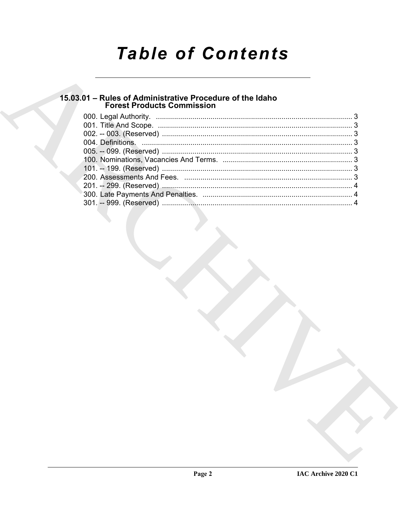# **Table of Contents**

# 15.03.01 - Rules of Administrative Procedure of the Idaho<br>Forest Products Commission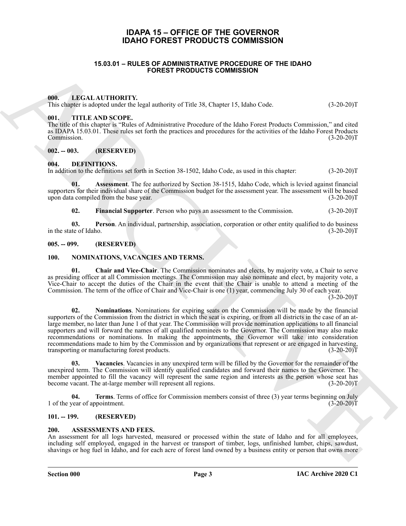# **IDAPA 15 – OFFICE OF THE GOVERNOR IDAHO FOREST PRODUCTS COMMISSION**

#### **15.03.01 – RULES OF ADMINISTRATIVE PROCEDURE OF THE IDAHO FOREST PRODUCTS COMMISSION**

#### <span id="page-2-14"></span><span id="page-2-1"></span><span id="page-2-0"></span>**000. LEGAL AUTHORITY.**

<span id="page-2-20"></span>This chapter is adopted under the legal authority of Title 38, Chapter 15, Idaho Code. (3-20-20)T

#### <span id="page-2-2"></span>**001. TITLE AND SCOPE.**

The title of this chapter is "Rules of Administrative Procedure of the Idaho Forest Products Commission," and cited as IDAPA 15.03.01. These rules set forth the practices and procedures for the activities of the Idaho Forest Products Commission. (3-20-20)T

#### <span id="page-2-3"></span>**002. -- 003. (RESERVED)**

#### <span id="page-2-10"></span><span id="page-2-4"></span>**004. DEFINITIONS.**

In addition to the definitions set forth in Section 38-1502, Idaho Code, as used in this chapter: (3-20-20)T

**01. Assessment**. The fee authorized by Section 38-1515, Idaho Code, which is levied against financial supporters for their individual share of the Commission budget for the assessment year. The assessment will be based upon data compiled from the base year. (3-20-20)T

<span id="page-2-13"></span><span id="page-2-12"></span><span id="page-2-11"></span>**02.** Financial Supporter. Person who pays an assessment to the Commission.  $(3-20-20)T$ 

**03. Person**. An individual, partnership, association, corporation or other entity qualified to do business in the state of Idaho. (3-20-20)T

#### <span id="page-2-5"></span>**005. -- 099. (RESERVED)**

#### <span id="page-2-15"></span><span id="page-2-6"></span>**100. NOMINATIONS, VACANCIES AND TERMS.**

<span id="page-2-17"></span><span id="page-2-16"></span>**01. Chair and Vice-Chair**. The Commission nominates and elects, by majority vote, a Chair to serve as presiding officer at all Commission meetings. The Commission may also nominate and elect, by majority vote, a Vice-Chair to accept the duties of the Chair in the event that the Chair is unable to attend a meeting of the Commission. The term of the office of Chair and Vice-Chair is one (1) year, commencing July 30 of each year.

 $(3-20-20)$ T

**15.0.0.1 - RULE S OF ADMINISTRATION**<br> **ARCHIVE COMMUNISTRATION EVALUATE CONTINUES CONTINUES OF A CONTINUES CONTINUES (2018)**<br> **ARCHIVE CONTINUES CONTINUES OF A CONTINUES CONTINUES (2018)**<br> **ARCHIVE CONTINUES CONTINUES 02. Nominations**. Nominations for expiring seats on the Commission will be made by the financial supporters of the Commission from the district in which the seat is expiring, or from all districts in the case of an atlarge member, no later than June 1 of that year. The Commission will provide nomination applications to all financial supporters and will forward the names of all qualified nominees to the Governor. The Commission may also make recommendations or nominations. In making the appointments, the Governor will take into consideration recommendations made to him by the Commission and by organizations that represent or are engaged in harvesting, transporting or manufacturing forest products. (3-20-20)T

<span id="page-2-19"></span>**03. Vacancies**. Vacancies in any unexpired term will be filled by the Governor for the remainder of the unexpired term. The Commission will identify qualified candidates and forward their names to the Governor. The member appointed to fill the vacancy will represent the same region and interests as the person whose seat has become vacant. The at-large member will represent all regions. (3-20-20)T

<span id="page-2-18"></span>**04. Terms**. Terms of office for Commission members consist of three (3) year terms beginning on July 1 of the year of appointment. (3-20-20)T

#### <span id="page-2-7"></span>**101. -- 199. (RESERVED)**

#### <span id="page-2-9"></span><span id="page-2-8"></span>**200. ASSESSMENTS AND FEES.**

An assessment for all logs harvested, measured or processed within the state of Idaho and for all employees, including self employed, engaged in the harvest or transport of timber, logs, unfinished lumber, chips, sawdust, shavings or hog fuel in Idaho, and for each acre of forest land owned by a business entity or person that owns more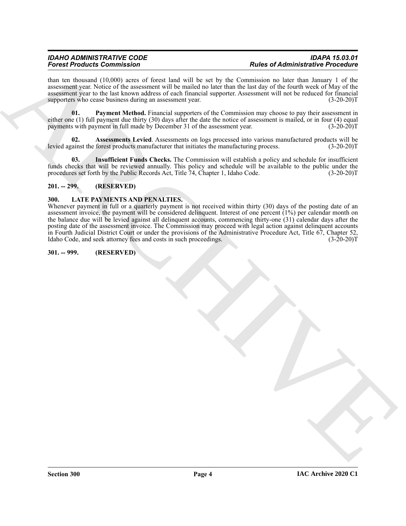than ten thousand (10,000) acres of forest land will be set by the Commission no later than January 1 of the assessment year. Notice of the assessment will be mailed no later than the last day of the fourth week of May of the assessment year to the last known address of each financial supporter. Assessment will not be reduced for financial supporters who cease business during an assessment year. (3-20-20)T

<span id="page-3-5"></span>**01. Payment Method.** Financial supporters of the Commission may choose to pay their assessment in either one (1) full payment due thirty (30) days after the date the notice of assessment is mailed, or in four (4) equal payments with payment in full made by December 31 of the assessment year. (3-20-20)T

<span id="page-3-3"></span>**02. Assessments Levied**. Assessments on logs processed into various manufactured products will be levied against the forest products manufacturer that initiates the manufacturing process. (3-20-20)T

<span id="page-3-4"></span>**03. Insufficient Funds Checks.** The Commission will establish a policy and schedule for insufficient funds checks that will be reviewed annually. This policy and schedule will be available to the public under the procedures set forth by the Public Records Act, Title 74, Chapter 1, Idaho Code. (3-20-20)T

### <span id="page-3-0"></span>**201. -- 299. (RESERVED)**

#### <span id="page-3-6"></span><span id="page-3-1"></span>**300. LATE PAYMENTS AND PENALTIES.**

Forces Product Commission of the state line of the state of the state of distribution in the state of the state of the state of the state of the state of the state of the state of the state of the state of the state of th Whenever payment in full or a quarterly payment is not received within thirty (30) days of the posting date of an assessment invoice, the payment will be considered delinquent. Interest of one percent (1%) per calendar month on the balance due will be levied against all delinquent accounts, commencing thirty-one (31) calendar days after the posting date of the assessment invoice. The Commission may proceed with legal action against delinquent accounts in Fourth Judicial District Court or under the provisions of the Administrative Procedure Act, Title 67, Chapter 52, Idaho Code, and seek attorney fees and costs in such proceedings. (3-20-20)T

#### <span id="page-3-2"></span>**301. -- 999. (RESERVED)**